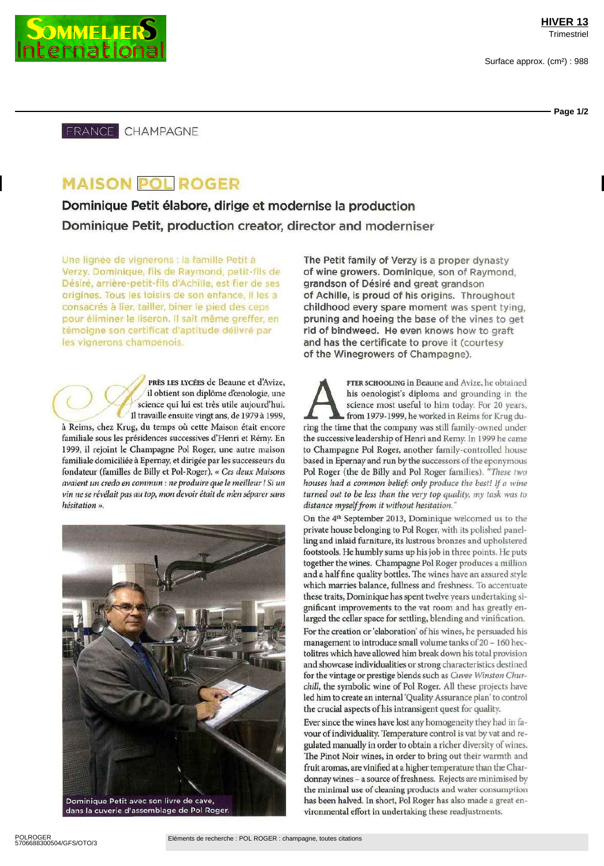

FRANCE CHAMPAGNE

## **MAISON POL ROGER**

Dominique Petit élabore, dirige et modernise la production Dominique Petit, production creator, director and moderniser

Une lignée de vignerons : la famille Petit à Verzy. Dominique, fils de Raymond, petit-fils de Désiré, arrîère-petit-fils d'Achille, est fier de ses origines. Tous les loisirs de son enfance, il les a consacrés à lier, tailler, biner le pied des ceps pour éliminer le liseron. Il sait même greffer, en témoigne son certificat d'aptitude délivré par les vignerons champenois.

PRÈS LES LYCÉES de Beaune et d'Avize, *il* obtient son diplôme d'œnologie, une science qui lui est très utile aujourd'hui. Il travaille ensuite vingt ans, de 1979 à 1999, à Reims, chez Krug, du temps où cette Maison était encore familiale sous les présidences successives d'Henri et Rémy. En 1999, il rejoint le Champagne Pol Roger, une autre maison familiale domiciliée à Epernay, et dirigée par les successeurs du fondateur (familles de Billy et Pol Roger) « Ces *deux Maisons avaient un credo en commun : ne produire que le meilleur ! Si un vin ne se révélait pas au top, mon devoir était de men séparer sans hésitation »*



dans la cuverie d'assemblage de Pol Roger.

The Petit family of Verzy is a proper dynasty of wine growers. Dominique, son of Raymond, grandson of Désiré and great grandson of Achille, is proud of his origins. Throughout childhood every spare moment was spent tying, pruning and hoeing the base of the vines to get rid of bindweed. He even knows how to graft and has the certificate to prove it (courtesy of the Winegrowers of Champagne).

FTER SCHOOLING in Beaune and Avize, he obtained his oenologist's diploma and grounding in the science most useful to him today. For 20 years, from 1979-1999, he worked in Reims for Krug during the time that the company was FTER SCHOOLING in Beaune and Avize, he obtained hts oenologist's diploma and grounding in the science most useful to him today. For 20 years, from 1979-1999, he worked in Reims for Krug duthe successive leadership of Henri and Remy. In 1999 he came to Champagne Pol Roger, another family-controlled house based in Epernay and run by the successors of the eponymous Pol Roger (the de Billy and Pol Roger families) *"These two* **houses had a common belief: only produce the best! If a wine** *turned out to be less than the very top quality, my task* was *to distance myselffrom it without hésitation. "*

On the 4<sup>th</sup> September 2013, Dominique welcomed us to the private house belonging to Pol Roger, with its polished panelling and inlaid furniture, its lustrous bronzes and upholstered footstools. He humbly sums up his job in three points. He puts together the wines. Champagne Pol Roger produces a million and a half fine quality bottles. The wines have an assured style which marries balance, fullness and freshness. To accentuate these traits, Dominique has spent twelve years undertaking sigmficant improvements to the vat room and has greatly enlarged the cellar space for settling, blending and vinification. For the creation or 'elaboration' of his wines, he persuaded his management to introduce small volume tanks of 20 - 160 hectolitres which have allowed him break down his total provision and showcase mdividualities or strong characteristics destined for the vintage or prestige blends such as *Cuvee Winston Churchill*, the symbolic wine of Pol Roger. All these projects have led him to create an internal 'Quality Assurance plan' to control the crucial aspects of his intransigent quest for quality

Ever since the wines have lost any homogeneity they had in favour of individuality. Temperature control is vat by vat and regulated manually in order to obtain a richer diversity of wines. The Pinot Noir wines, in order to bring out their warmth and fruit aromas, are vinified at a higher temperature than the Chardonnay wines - a source of freshness. Rejects are minimised by the minimal use of cleaning products and water consumption has been halved. In short, Pol Roger has also made a great environmental effort in undertaking these readjustments.